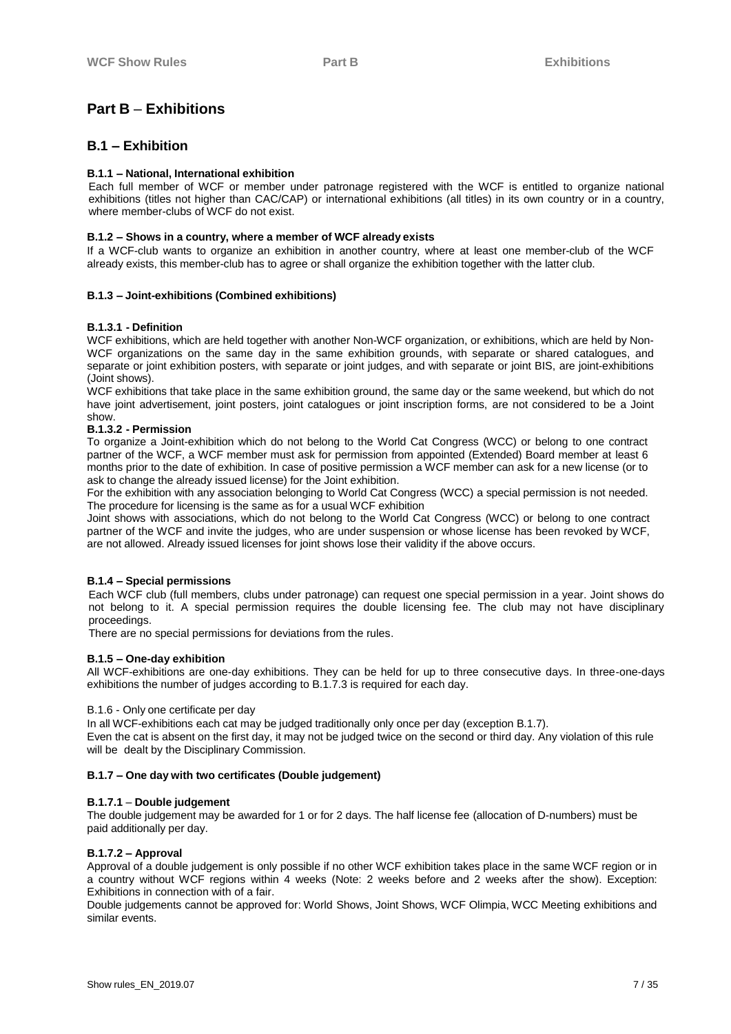# **Part B** – **Exhibitions**

## **B.1 – Exhibition**

## **B.1.1 – National, International exhibition**

Each full member of WCF or member under patronage registered with the WCF is entitled to organize national exhibitions (titles not higher than CAC/CAP) or international exhibitions (all titles) in its own country or in a country, where member-clubs of WCF do not exist.

## **B.1.2 – Shows in a country, where a member of WCF already exists**

If a WCF-club wants to organize an exhibition in another country, where at least one member-club of the WCF already exists, this member-club has to agree or shall organize the exhibition together with the latter club.

## **B.1.3 – Joint-exhibitions (Combined exhibitions)**

## **B.1.3.1 - Definition**

WCF exhibitions, which are held together with another Non-WCF organization, or exhibitions, which are held by Non-WCF organizations on the same day in the same exhibition grounds, with separate or shared catalogues, and separate or joint exhibition posters, with separate or joint judges, and with separate or joint BIS, are joint-exhibitions (Joint shows).

WCF exhibitions that take place in the same exhibition ground, the same day or the same weekend, but which do not have joint advertisement, joint posters, joint catalogues or joint inscription forms, are not considered to be a Joint show.

## **B.1.3.2 - Permission**

To organize a Joint-exhibition which do not belong to the World Cat Congress (WCC) or belong to one contract partner of the WCF, a WCF member must ask for permission from appointed (Extended) Board member at least 6 months prior to the date of exhibition. In case of positive permission a WCF member can ask for a new license (or to ask to change the already issued license) for the Joint exhibition.

For the exhibition with any association belonging to World Cat Congress (WCC) a special permission is not needed. The procedure for licensing is the same as for a usual WCF exhibition

Joint shows with associations, which do not belong to the World Cat Congress (WCC) or belong to one contract partner of the WCF and invite the judges, who are under suspension or whose license has been revoked by WCF, are not allowed. Already issued licenses for joint shows lose their validity if the above occurs.

## **B.1.4 – Special permissions**

Each WCF club (full members, clubs under patronage) can request one special permission in a year. Joint shows do not belong to it. A special permission requires the double licensing fee. The club may not have disciplinary proceedings.

There are no special permissions for deviations from the rules.

### **B.1.5 – One-day exhibition**

All WCF-exhibitions are one-day exhibitions. They can be held for up to three consecutive days. In three-one-days exhibitions the number of judges according to B.1.7.3 is required for each day.

### B.1.6 - Only one certificate per day

In all WCF-exhibitions each cat may be judged traditionally only once per day (exception B.1.7).

Even the cat is absent on the first day, it may not be judged twice on the second or third day. Any violation of this rule will be dealt by the Disciplinary Commission.

### **B.1.7 – One day with two certificates (Double judgement)**

## **B.1.7.1** – **Double judgement**

The double judgement may be awarded for 1 or for 2 days. The half license fee (allocation of D-numbers) must be paid additionally per day.

## **B.1.7.2 – Approval**

Approval of a double judgement is only possible if no other WCF exhibition takes place in the same WCF region or in a country without WCF regions within 4 weeks (Note: 2 weeks before and 2 weeks after the show). Exception: Exhibitions in connection with of a fair.

Double judgements cannot be approved for: World Shows, Joint Shows, WCF Olimpia, WCC Meeting exhibitions and similar events.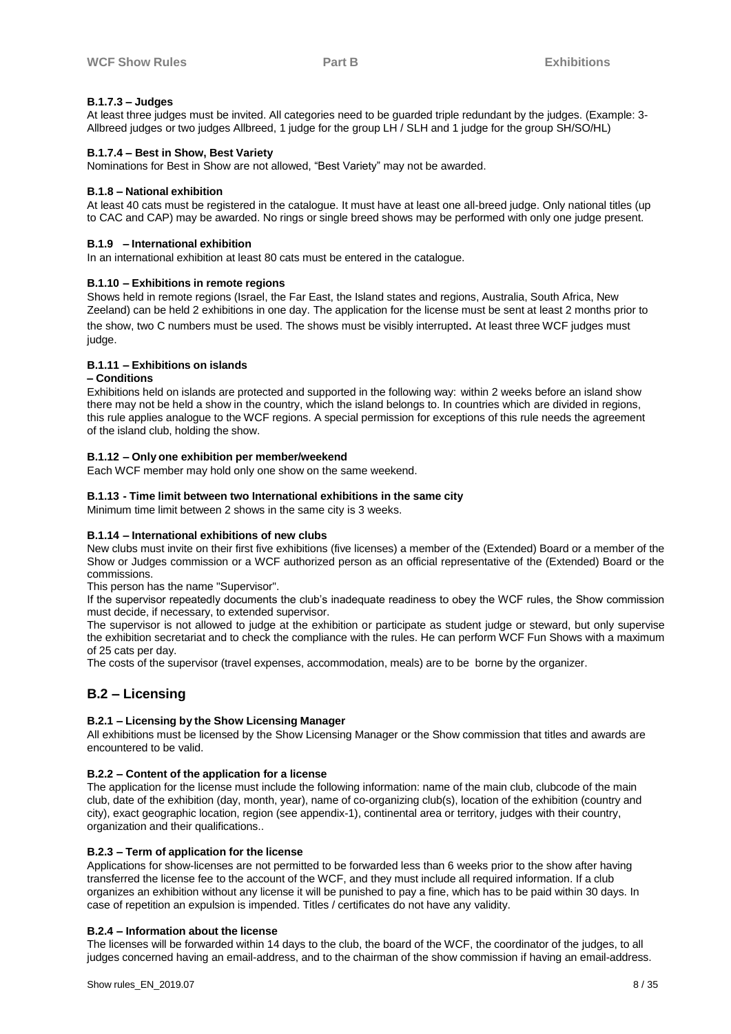## **B.1.7.3 – Judges**

At least three judges must be invited. All categories need to be guarded triple redundant by the judges. (Example: 3- Allbreed judges or two judges Allbreed, 1 judge for the group LH / SLH and 1 judge for the group SH/SO/HL)

### **B.1.7.4 – Best in Show, Best Variety**

Nominations for Best in Show are not allowed, "Best Variety" may not be awarded.

### **B.1.8 – National exhibition**

At least 40 cats must be registered in the catalogue. It must have at least one all-breed judge. Only national titles (up to CAC and CAP) may be awarded. No rings or single breed shows may be performed with only one judge present.

#### **B.1.9 – International exhibition**

In an international exhibition at least 80 cats must be entered in the catalogue.

### **B.1.10 – Exhibitions in remote regions**

Shows held in remote regions (Israel, the Far East, the Island states and regions, Australia, South Africa, New Zeeland) can be held 2 exhibitions in one day. The application for the license must be sent at least 2 months prior to the show, two C numbers must be used. The shows must be visibly interrupted. At least three WCF judges must judge.

### **B.1.11 – Exhibitions on islands**

#### **– Conditions**

Exhibitions held on islands are protected and supported in the following way: within 2 weeks before an island show there may not be held a show in the country, which the island belongs to. In countries which are divided in regions, this rule applies analogue to the WCF regions. A special permission for exceptions of this rule needs the agreement of the island club, holding the show.

#### **B.1.12 – Only one exhibition per member/weekend**

Each WCF member may hold only one show on the same weekend.

#### **B.1.13 - Time limit between two International exhibitions in the same city**

Minimum time limit between 2 shows in the same city is 3 weeks.

## **B.1.14 – International exhibitions of new clubs**

New clubs must invite on their first five exhibitions (five licenses) a member of the (Extended) Board or a member of the Show or Judges commission or a WCF authorized person as an official representative of the (Extended) Board or the commissions.

This person has the name "Supervisor".

If the supervisor repeatedly documents the club's inadequate readiness to obey the WCF rules, the Show commission must decide, if necessary, to extended supervisor.

The supervisor is not allowed to judge at the exhibition or participate as student judge or steward, but only supervise the exhibition secretariat and to check the compliance with the rules. He can perform WCF Fun Shows with a maximum of 25 cats per day.

The costs of the supervisor (travel expenses, accommodation, meals) are to be borne by the organizer.

## **B.2 – Licensing**

### **B.2.1 – Licensing by the Show Licensing Manager**

All exhibitions must be licensed by the Show Licensing Manager or the Show commission that titles and awards are encountered to be valid.

### **B.2.2 – Content of the application for a license**

The application for the license must include the following information: name of the main club, clubcode of the main club, date of the exhibition (day, month, year), name of co-organizing club(s), location of the exhibition (country and city), exact geographic location, region (see appendix-1), continental area or territory, judges with their country, organization and their qualifications..

### **B.2.3 – Term of application for the license**

Applications for show-licenses are not permitted to be forwarded less than 6 weeks prior to the show after having transferred the license fee to the account of the WCF, and they must include all required information. If a club organizes an exhibition without any license it will be punished to pay a fine, which has to be paid within 30 days. In case of repetition an expulsion is impended. Titles / certificates do not have any validity.

### **B.2.4 – Information about the license**

The licenses will be forwarded within 14 days to the club, the board of the WCF, the coordinator of the judges, to all judges concerned having an email-address, and to the chairman of the show commission if having an email-address.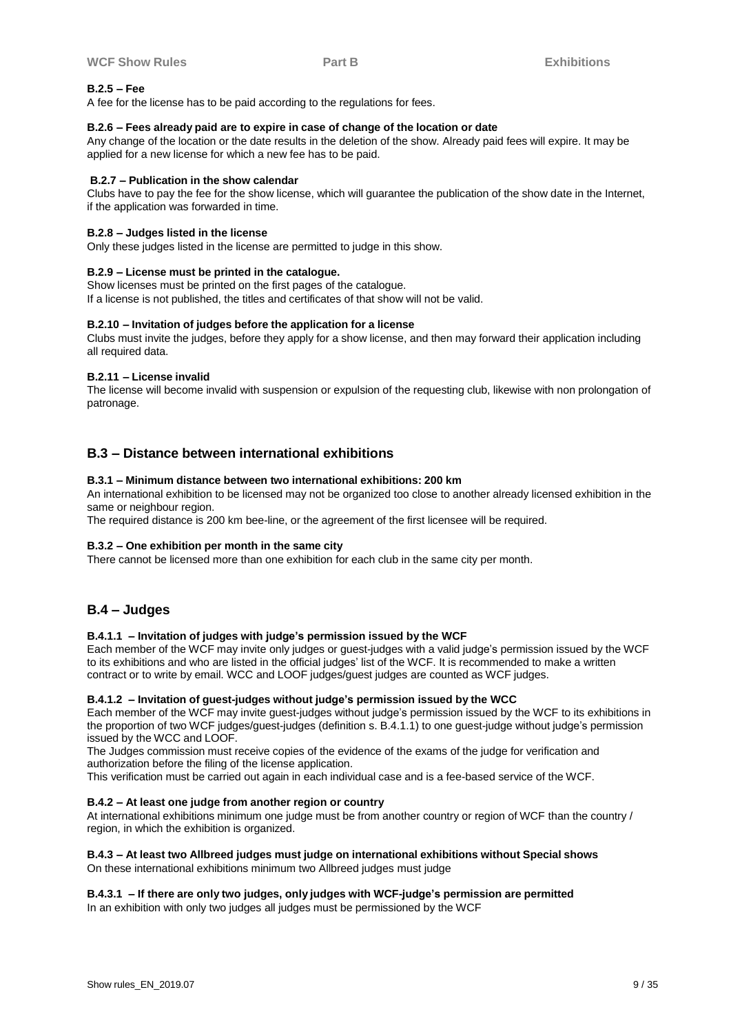## **B.2.5 – Fee**

A fee for the license has to be paid according to the regulations for fees.

### **B.2.6 – Fees already paid are to expire in case of change of the location or date**

Any change of the location or the date results in the deletion of the show. Already paid fees will expire. It may be applied for a new license for which a new fee has to be paid.

### **B.2.7 – Publication in the show calendar**

Clubs have to pay the fee for the show license, which will guarantee the publication of the show date in the Internet, if the application was forwarded in time.

### **B.2.8 – Judges listed in the license**

Only these judges listed in the license are permitted to judge in this show.

### **B.2.9 – License must be printed in the catalogue.**

Show licenses must be printed on the first pages of the catalogue. If a license is not published, the titles and certificates of that show will not be valid.

### **B.2.10 – Invitation of judges before the application for a license**

Clubs must invite the judges, before they apply for a show license, and then may forward their application including all required data.

### **B.2.11 – License invalid**

The license will become invalid with suspension or expulsion of the requesting club, likewise with non prolongation of patronage.

## **B.3 – Distance between international exhibitions**

### **B.3.1 – Minimum distance between two international exhibitions: 200 km**

An international exhibition to be licensed may not be organized too close to another already licensed exhibition in the same or neighbour region.

The required distance is 200 km bee-line, or the agreement of the first licensee will be required.

### **B.3.2 – One exhibition per month in the same city**

There cannot be licensed more than one exhibition for each club in the same city per month.

## **B.4 – Judges**

### **B.4.1.1 – Invitation of judges with judge's permission issued by the WCF**

Each member of the WCF may invite only judges or guest-judges with a valid judge's permission issued by the WCF to its exhibitions and who are listed in the official judges' list of the WCF. It is recommended to make a written contract or to write by email. WCC and LOOF judges/guest judges are counted as WCF judges.

### **B.4.1.2 – Invitation of guest-judges without judge's permission issued by the WCC**

Each member of the WCF may invite guest-judges without judge's permission issued by the WCF to its exhibitions in the proportion of two WCF judges/guest-judges (definition s. B.4.1.1) to one guest-judge without judge's permission issued by the WCC and LOOF.

The Judges commission must receive copies of the evidence of the exams of the judge for verification and authorization before the filing of the license application.

This verification must be carried out again in each individual case and is a fee-based service of the WCF.

### **B.4.2 – At least one judge from another region or country**

At international exhibitions minimum one judge must be from another country or region of WCF than the country / region, in which the exhibition is organized.

### **B.4.3 – At least two Allbreed judges must judge on international exhibitions without Special shows**

On these international exhibitions minimum two Allbreed judges must judge

## **B.4.3.1 – If there are only two judges, only judges with WCF-judge's permission are permitted**

In an exhibition with only two judges all judges must be permissioned by the WCF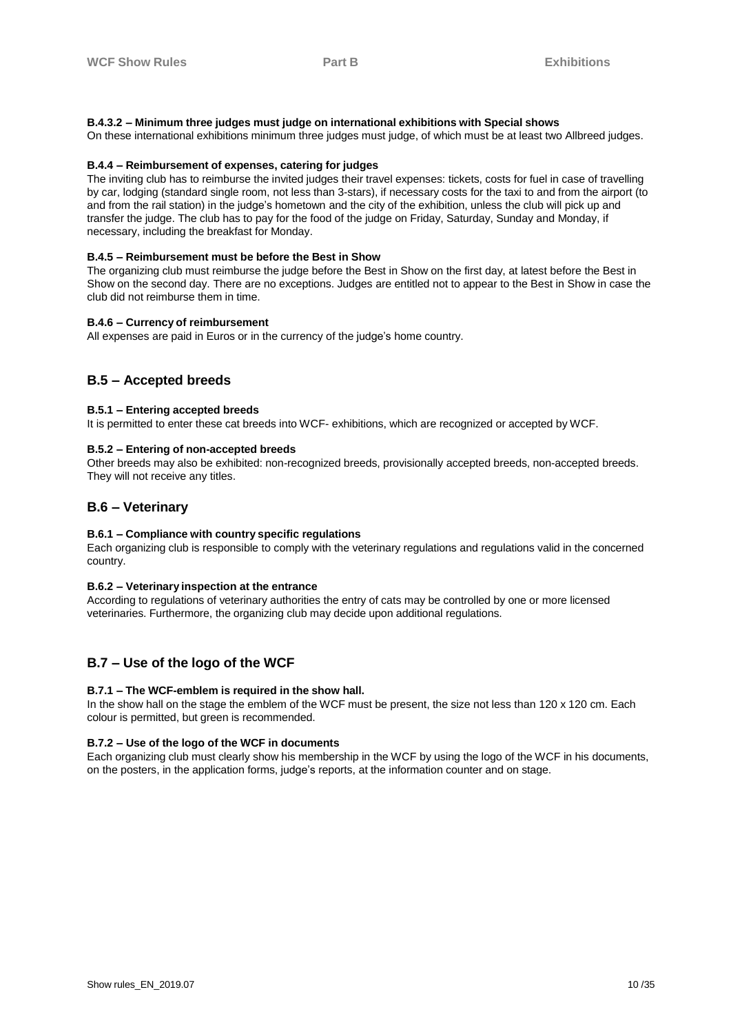## **B.4.3.2 – Minimum three judges must judge on international exhibitions with Special shows**

On these international exhibitions minimum three judges must judge, of which must be at least two Allbreed judges.

## **B.4.4 – Reimbursement of expenses, catering for judges**

The inviting club has to reimburse the invited judges their travel expenses: tickets, costs for fuel in case of travelling by car, lodging (standard single room, not less than 3-stars), if necessary costs for the taxi to and from the airport (to and from the rail station) in the judge's hometown and the city of the exhibition, unless the club will pick up and transfer the judge. The club has to pay for the food of the judge on Friday, Saturday, Sunday and Monday, if necessary, including the breakfast for Monday.

#### **B.4.5 – Reimbursement must be before the Best in Show**

The organizing club must reimburse the judge before the Best in Show on the first day, at latest before the Best in Show on the second day. There are no exceptions. Judges are entitled not to appear to the Best in Show in case the club did not reimburse them in time.

#### **B.4.6 – Currency of reimbursement**

All expenses are paid in Euros or in the currency of the judge's home country.

## **B.5 – Accepted breeds**

### **B.5.1 – Entering accepted breeds**

It is permitted to enter these cat breeds into WCF- exhibitions, which are recognized or accepted by WCF.

#### **B.5.2 – Entering of non-accepted breeds**

Other breeds may also be exhibited: non-recognized breeds, provisionally accepted breeds, non-accepted breeds. They will not receive any titles.

## **B.6 – Veterinary**

### **B.6.1 – Compliance with country specific regulations**

Each organizing club is responsible to comply with the veterinary regulations and regulations valid in the concerned country.

#### **B.6.2 – Veterinary inspection at the entrance**

According to regulations of veterinary authorities the entry of cats may be controlled by one or more licensed veterinaries. Furthermore, the organizing club may decide upon additional regulations.

## **B.7 – Use of the logo of the WCF**

### **B.7.1 – The WCF-emblem is required in the show hall.**

In the show hall on the stage the emblem of the WCF must be present, the size not less than 120 x 120 cm. Each colour is permitted, but green is recommended.

### **B.7.2 – Use of the logo of the WCF in documents**

Each organizing club must clearly show his membership in the WCF by using the logo of the WCF in his documents, on the posters, in the application forms, judge's reports, at the information counter and on stage.